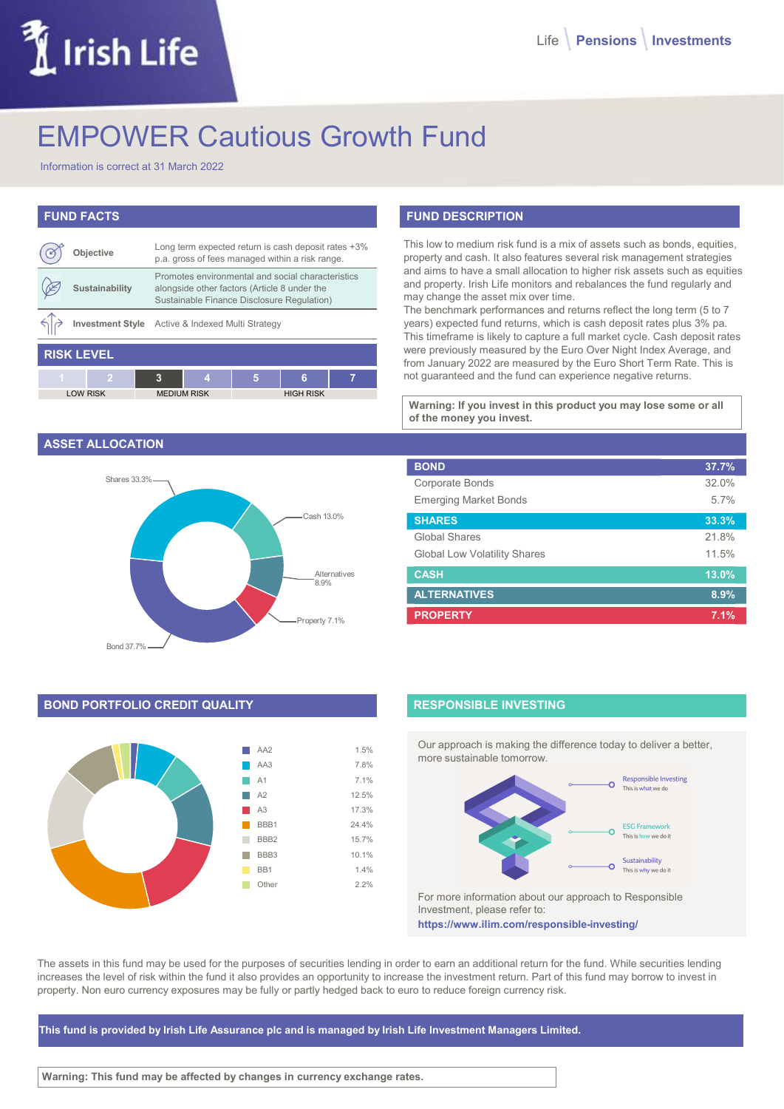# Irish Life

# EMPOWER Cautious Growth Fund

Information is correct at 31 March 2022

# FUND FACTS

|                   | <b>Objective</b> |   | Long term expected return is cash deposit rates +3%<br>p.a. gross of fees managed within a risk range.                                          |                  |   |   |  |
|-------------------|------------------|---|-------------------------------------------------------------------------------------------------------------------------------------------------|------------------|---|---|--|
|                   | Sustainability   |   | Promotes environmental and social characteristics<br>alongside other factors (Article 8 under the<br>Sustainable Finance Disclosure Regulation) |                  |   |   |  |
|                   |                  |   | Investment Style Active & Indexed Multi Strategy                                                                                                |                  |   |   |  |
| <b>RISK LEVEL</b> |                  |   |                                                                                                                                                 |                  |   |   |  |
| $\overline{1}$    |                  | 3 | 4                                                                                                                                               | 5                | 6 | 7 |  |
| <b>LOW RISK</b>   |                  |   | <b>MEDIUM RISK</b>                                                                                                                              | <b>HIGH RISK</b> |   |   |  |

## ASSET ALLOCATION



# BOND PORTFOLIO CREDIT QUALITY



# FUND DESCRIPTION

| eposit rates +3%<br>risk range.            | This low to medium risk fund is a mix of assets such as bonds, equities,<br>property and cash. It also features several risk management strategies                                                                                                                                                                                                                                                                                                                                                                                                                                                                                        |                |
|--------------------------------------------|-------------------------------------------------------------------------------------------------------------------------------------------------------------------------------------------------------------------------------------------------------------------------------------------------------------------------------------------------------------------------------------------------------------------------------------------------------------------------------------------------------------------------------------------------------------------------------------------------------------------------------------------|----------------|
| characteristics<br>er the<br>ulation)<br>7 | and aims to have a small allocation to higher risk assets such as equities<br>and property. Irish Life monitors and rebalances the fund regularly and<br>may change the asset mix over time.<br>The benchmark performances and returns reflect the long term (5 to 7<br>years) expected fund returns, which is cash deposit rates plus 3% pa.<br>This timeframe is likely to capture a full market cycle. Cash deposit rates<br>were previously measured by the Euro Over Night Index Average, and<br>from January 2022 are measured by the Euro Short Term Rate. This is<br>not quaranteed and the fund can experience negative returns. |                |
| <b>RISK</b>                                | Warning: If you invest in this product you may lose some or all                                                                                                                                                                                                                                                                                                                                                                                                                                                                                                                                                                           |                |
|                                            | of the money you invest.                                                                                                                                                                                                                                                                                                                                                                                                                                                                                                                                                                                                                  |                |
|                                            | <b>BOND</b>                                                                                                                                                                                                                                                                                                                                                                                                                                                                                                                                                                                                                               | 37.7%          |
|                                            | Corporate Bonds                                                                                                                                                                                                                                                                                                                                                                                                                                                                                                                                                                                                                           | 32.0%          |
|                                            | <b>Emerging Market Bonds</b>                                                                                                                                                                                                                                                                                                                                                                                                                                                                                                                                                                                                              | 5.7%           |
| Cash 13.0%                                 | <b>SHARES</b>                                                                                                                                                                                                                                                                                                                                                                                                                                                                                                                                                                                                                             | 33.3%          |
|                                            | Global Shares                                                                                                                                                                                                                                                                                                                                                                                                                                                                                                                                                                                                                             |                |
|                                            | <b>Global Low Volatility Shares</b>                                                                                                                                                                                                                                                                                                                                                                                                                                                                                                                                                                                                       | 21.8%<br>11.5% |
| Alternatives                               | <b>CASH</b>                                                                                                                                                                                                                                                                                                                                                                                                                                                                                                                                                                                                                               | 13.0%          |
| 8.9%                                       | <b>ALTERNATIVES</b>                                                                                                                                                                                                                                                                                                                                                                                                                                                                                                                                                                                                                       | 8.9%           |

# RESPONSIBLE INVESTING

Our approach is making the difference today to deliver a better, more sustainable tomorrow.



For more information about our approach to Responsible Investment, please refer to: https://www.ilim.com/responsible-investing/

The assets in this fund may be used for the purposes of securities lending in order to earn an additional return for the fund. While securities lending increases the level of risk within the fund it also provides an opportunity to increase the investment return. Part of this fund may borrow to invest in property. Non euro currency exposures may be fully or partly hedged back to euro to reduce foreign currency risk.

This fund is provided by Irish Life Assurance plc and is managed by Irish Life Investment Managers Limited.

Warning: This fund may be affected by changes in currency exchange rates.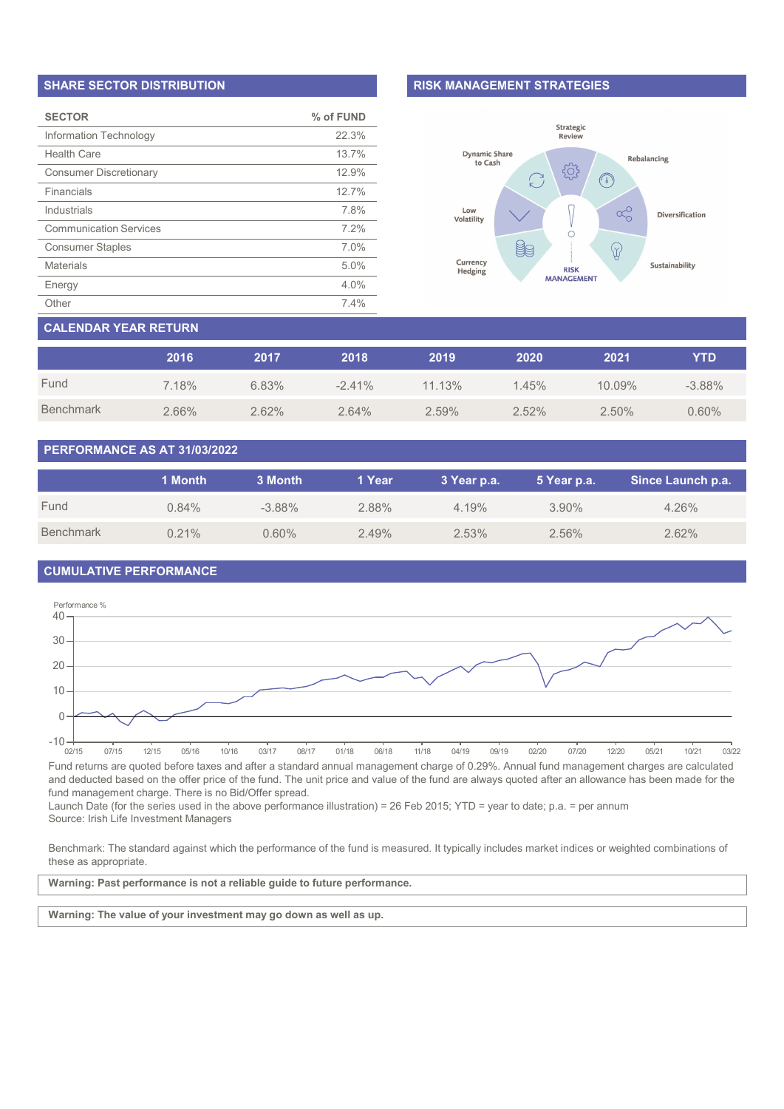#### SHARE SECTOR DISTRIBUTION

| <b>SECTOR</b>                 | % of FUND |
|-------------------------------|-----------|
| Information Technology        | 22.3%     |
| Health Care                   | 13.7%     |
| <b>Consumer Discretionary</b> | 12.9%     |
| Financials                    | 12.7%     |
| Industrials                   | 7.8%      |
| <b>Communication Services</b> | 7.2%      |
| <b>Consumer Staples</b>       | 7.0%      |
| <b>Materials</b>              | 5.0%      |
| Energy                        | 4.0%      |
| Other                         | 7.4%      |

## RISK MANAGEMENT STRATEGIES



# CALENDAR YEAR RETURN

|           | 2016  | 2017  | 2018      | 2019   | 2020  | 2021     | YTD       |
|-----------|-------|-------|-----------|--------|-------|----------|-----------|
| Fund      | 7.18% | 6.83% | $-2.41\%$ | 11.13% | 1.45% | 10.09%   | $-3.88\%$ |
| Benchmark | 2.66% | 2.62% | 2.64%     | 2.59%  | 2.52% | $2.50\%$ | 0.60%     |

# PERFORMANCE AS AT 31/03/2022

|                  | 1 Month  | 3 Month   | 1 Year | 3 Year p.a. | 5 Year p.a. | Since Launch p.a. |
|------------------|----------|-----------|--------|-------------|-------------|-------------------|
| Fund             | $0.84\%$ | $-3.88\%$ | 2.88%  | 4.19%       | $3.90\%$    | 4.26%             |
| <b>Benchmark</b> | 0.21%    | 0.60%     | 2.49%  | 2.53%       | $2.56\%$    | 2.62%             |

# CUMULATIVE PERFORMANCE



Fund returns are quoted before taxes and after a standard annual management charge of 0.29%. Annual fund management charges are calculated and deducted based on the offer price of the fund. The unit price and value of the fund are always quoted after an allowance has been made for the fund management charge. There is no Bid/Offer spread.

Launch Date (for the series used in the above performance illustration) = 26 Feb 2015; YTD = year to date; p.a. = per annum Source: Irish Life Investment Managers

Benchmark: The standard against which the performance of the fund is measured. It typically includes market indices or weighted combinations of these as appropriate.

Warning: Past performance is not a reliable guide to future performance.

Warning: The value of your investment may go down as well as up.